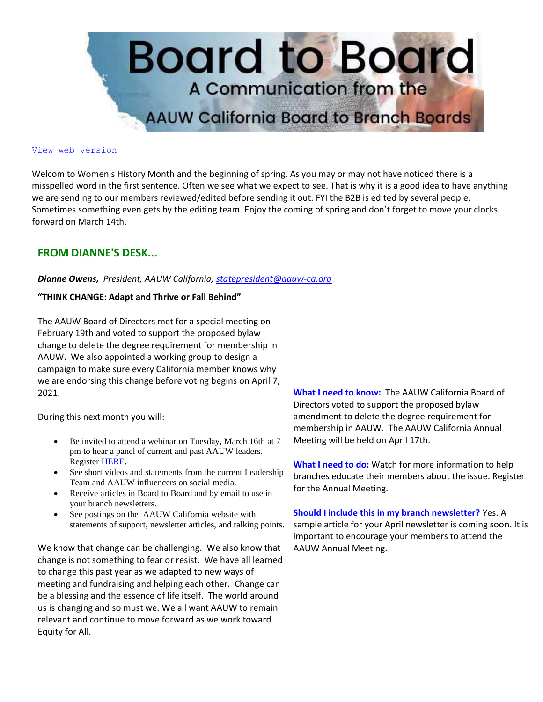

#### [View web version](https://bor.aauw-ca.org/sendy/w/hvI763fYktirpy6qNeS892Esmw)

Welcom to Women's History Month and the beginning of spring. As you may or may not have noticed there is a misspelled word in the first sentence. Often we see what we expect to see. That is why it is a good idea to have anything we are sending to our members reviewed/edited before sending it out. FYI the B2B is edited by several people. Sometimes something even gets by the editing team. Enjoy the coming of spring and don't forget to move your clocks forward on March 14th.

## **FROM DIANNE'S DESK...**

### *Dianne Owens, President, AAUW California, [statepresident@aauw-ca.org](mailto:statepresident@aauw-ca.org)*

### **"THINK CHANGE: Adapt and Thrive or Fall Behind"**

The AAUW Board of Directors met for a special meeting on February 19th and voted to support the proposed bylaw change to delete the degree requirement for membership in AAUW. We also appointed a working group to design a campaign to make sure every California member knows why we are endorsing this change before voting begins on April 7, 2021.

During this next month you will:

- Be invited to attend a webinar on Tuesday, March 16th at 7 pm to hear a panel of current and past AAUW leaders. Register [HERE.](https://www.aauw-ca.org/2020-2021-webinars/)
- See short videos and statements from the current Leadership Team and AAUW influencers on social media.
- Receive articles in Board to Board and by email to use in your branch newsletters.
- See postings on the AAUW California website with statements of support, newsletter articles, and talking points.

We know that change can be challenging. We also know that change is not something to fear or resist. We have all learned to change this past year as we adapted to new ways of meeting and fundraising and helping each other. Change can be a blessing and the essence of life itself. The world around us is changing and so must we. We all want AAUW to remain relevant and continue to move forward as we work toward Equity for All.

**What I need to know:** The AAUW California Board of Directors voted to support the proposed bylaw amendment to delete the degree requirement for membership in AAUW. The AAUW California Annual Meeting will be held on April 17th.

**What I need to do:** Watch for more information to help branches educate their members about the issue. Register for the Annual Meeting.

**Should I include this in my branch newsletter?** Yes. A sample article for your April newsletter is coming soon. It is important to encourage your members to attend the AAUW Annual Meeting.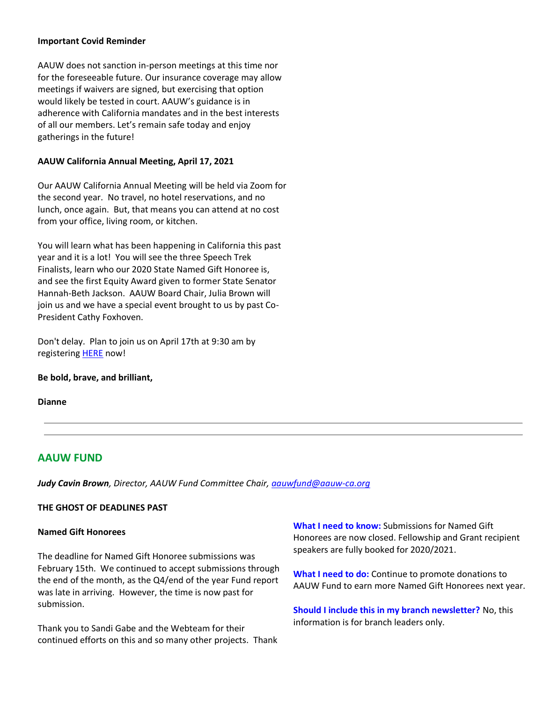## **Important Covid Reminder**

AAUW does not sanction in-person meetings at this time nor for the foreseeable future. Our insurance coverage may allow meetings if waivers are signed, but exercising that option would likely be tested in court. AAUW's guidance is in adherence with California mandates and in the best interests of all our members. Let's remain safe today and enjoy gatherings in the future!

## **AAUW California Annual Meeting, April 17, 2021**

Our AAUW California Annual Meeting will be held via Zoom for the second year. No travel, no hotel reservations, and no lunch, once again. But, that means you can attend at no cost from your office, living room, or kitchen.

You will learn what has been happening in California this past year and it is a lot! You will see the three Speech Trek Finalists, learn who our 2020 State Named Gift Honoree is, and see the first Equity Award given to former State Senator Hannah-Beth Jackson. AAUW Board Chair, Julia Brown will join us and we have a special event brought to us by past Co-President Cathy Foxhoven.

Don't delay. Plan to join us on April 17th at 9:30 am by registering **HERE** now!

## **Be bold, brave, and brilliant,**

**Dianne**

# **AAUW FUND**

*Judy Cavin Brown, Director, AAUW Fund Committee Chair, [aauwfund@aauw-ca.org](mailto:aauwfund@aauw-ca.org)*

## **THE GHOST OF DEADLINES PAST**

### **Named Gift Honorees**

The deadline for Named Gift Honoree submissions was February 15th. We continued to accept submissions through the end of the month, as the Q4/end of the year Fund report was late in arriving. However, the time is now past for submission.

Thank you to Sandi Gabe and the Webteam for their continued efforts on this and so many other projects. Thank **What I need to know:** Submissions for Named Gift Honorees are now closed. Fellowship and Grant recipient speakers are fully booked for 2020/2021.

**What I need to do:** Continue to promote donations to AAUW Fund to earn more Named Gift Honorees next year.

**Should I include this in my branch newsletter?** No, this information is for branch leaders only.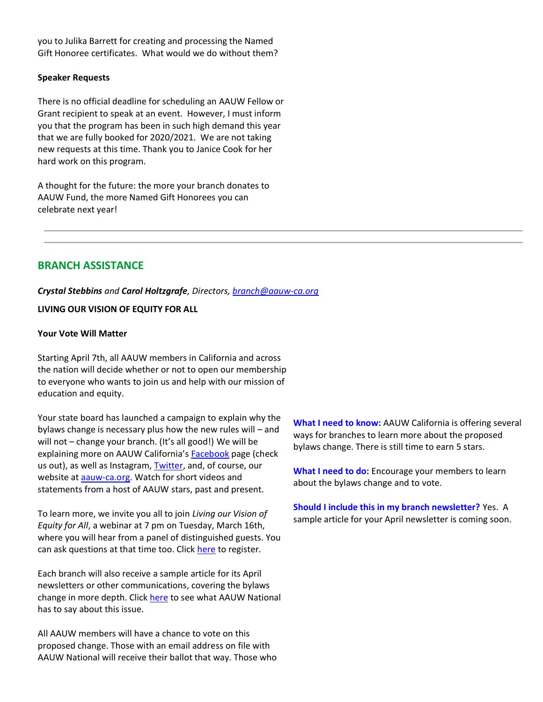you to Julika Barrett for creating and processing the Named Gift Honoree certificates. What would we do without them?

### **Speaker Requests**

There is no official deadline for scheduling an AAUW Fellow or Grant recipient to speak at an event. However, I must inform you that the program has been in such high demand this year that we are fully booked for 2020/2021. We are not taking new requests at this time. Thank you to Janice Cook for her hard work on this program.

A thought for the future: the more your branch donates to AAUW Fund, the more Named Gift Honorees you can celebrate next year!

# **BRANCH ASSISTANCE**

*Crystal Stebbins and Carol Holtzgrafe, Directors, [branch@aauw-ca.org](mailto:branch@aauw-ca.org)*

### **LIVING OUR VISION OF EQUITY FOR ALL**

#### **Your Vote Will Matter**

Starting April 7th, all AAUW members in California and across the nation will decide whether or not to open our membership to everyone who wants to join us and help with our mission of education and equity.

Your state board has launched a campaign to explain why the bylaws change is necessary plus how the new rules will – and will not – change your branch. (It's all good!) We will be explaining more on AAUW California's **[Facebook](https://www.facebook.com/AAUWCA)** page (check us out), as well as Instagram, [Twitter,](https://twitter.com/AAUW_CA) and, of course, our website at **aauw-ca.org**. Watch for short videos and statements from a host of AAUW stars, past and present.

To learn more, we invite you all to join *Living our Vision of Equity for All*, a webinar at 7 pm on Tuesday, March 16th, where you will hear from a panel of distinguished guests. You can ask questions at that time too. Click [here](https://www.aauw-ca.org/2020-2021-webinars/) to register.

Each branch will also receive a sample article for its April newsletters or other communications, covering the bylaws change in more depth. Click [here](https://www.aauw.org/resources/member/governance-tools/national-election/2021-comment-bylaws/) to see what AAUW National has to say about this issue.

All AAUW members will have a chance to vote on this proposed change. Those with an email address on file with AAUW National will receive their ballot that way. Those who **What I need to know:** AAUW California is offering several ways for branches to learn more about the proposed bylaws change. There is still time to earn 5 stars.

**What I need to do:** Encourage your members to learn about the bylaws change and to vote.

**Should I include this in my branch newsletter?** Yes. A sample article for your April newsletter is coming soon.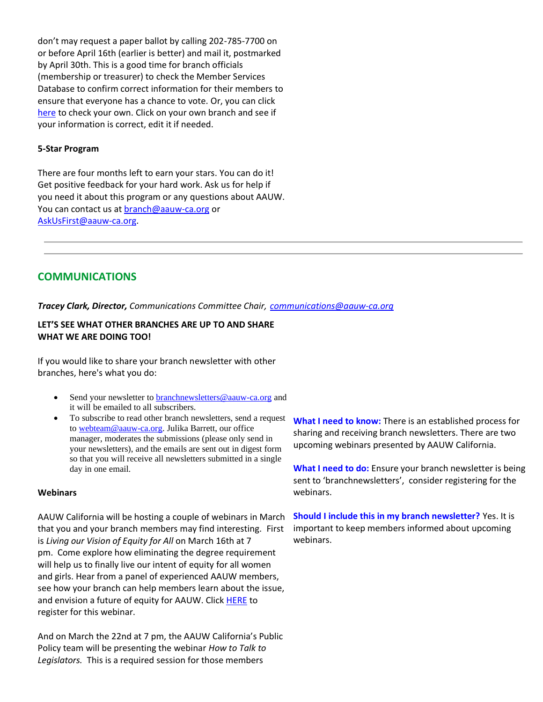don't may request a paper ballot by calling 202-785-7700 on or before April 16th (earlier is better) and mail it, postmarked by April 30th. This is a good time for branch officials (membership or treasurer) to check the Member Services Database to confirm correct information for their members to ensure that everyone has a chance to vote. Or, you can click [here](https://ww3.aauw.org/login/?redirect_to=/aauw_redirect/wp_redirect_msd.php) to check your own. Click on your own branch and see if your information is correct, edit it if needed.

### **5-Star Program**

There are four months left to earn your stars. You can do it! Get positive feedback for your hard work. Ask us for help if you need it about this program or any questions about AAUW. You can contact us at **branch@aauw-ca.org** or [AskUsFirst@aauw-ca.org.](mailto:AskUsFirst@aauw-ca.org)

# **COMMUNICATIONS**

*Tracey Clark, Director, Communications Committee Chair, [communications@aauw-ca.org](mailto:communications@aauw-ca.org)*

## **LET'S SEE WHAT OTHER BRANCHES ARE UP TO AND SHARE WHAT WE ARE DOING TOO!**

If you would like to share your branch newsletter with other branches, here's what you do:

- Send your newsletter to [branchnewsletters@aauw-ca.org](mailto:branchnewsletters@aauw-ca.org) and it will be emailed to all subscribers.
- To subscribe to read other branch newsletters, send a request to [webteam@aauw-ca.org.](mailto:webteam@aauw-ca.org) Julika Barrett, our office manager, moderates the submissions (please only send in your newsletters), and the emails are sent out in digest form so that you will receive all newsletters submitted in a single day in one email.

## **Webinars**

AAUW California will be hosting a couple of webinars in March that you and your branch members may find interesting. First is *Living our Vision of Equity for All* on March 16th at 7 pm. Come explore how eliminating the degree requirement will help us to finally live our intent of equity for all women and girls. Hear from a panel of experienced AAUW members, see how your branch can help members learn about the issue, and envision a future of equity for AAUW. Click [HERE](https://www.aauw-ca.org/2020-2021-webinars/) to register for this webinar.

And on March the 22nd at 7 pm, the AAUW California's Public Policy team will be presenting the webinar *How to Talk to Legislators.* This is a required session for those members

**What I need to know:** There is an established process for sharing and receiving branch newsletters. There are two upcoming webinars presented by AAUW California.

**What I need to do:** Ensure your branch newsletter is being sent to 'branchnewsletters', consider registering for the webinars.

**Should I include this in my branch newsletter?** Yes. It is important to keep members informed about upcoming webinars.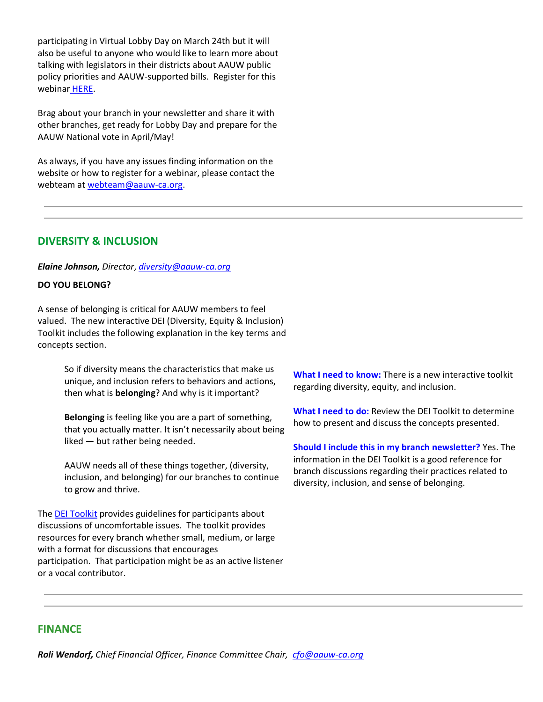participating in Virtual Lobby Day on March 24th but it will also be useful to anyone who would like to learn more about talking with legislators in their districts about AAUW public policy priorities and AAUW-supported bills. Register for this webinar [HERE.](https://www.aauw-ca.org/2020-2021-webinars/)

Brag about your branch in your newsletter and share it with other branches, get ready for Lobby Day and prepare for the AAUW National vote in April/May!

As always, if you have any issues finding information on the website or how to register for a webinar, please contact the webteam at [webteam@aauw-ca.org.](mailto:webteam@aauw-ca.org)

# **DIVERSITY & INCLUSION**

## *Elaine Johnson, Director*, *[diversity@aauw-ca.org](mailto:diversity@aauw-ca.org)*

## **DO YOU BELONG?**

A sense of belonging is critical for AAUW members to feel valued. The new interactive DEI (Diversity, Equity & Inclusion) Toolkit includes the following explanation in the key terms and concepts section.

> So if diversity means the characteristics that make us unique, and inclusion refers to behaviors and actions, then what is **belonging**? And why is it important?

**Belonging** is feeling like you are a part of something, that you actually matter. It isn't necessarily about being liked — but rather being needed.

AAUW needs all of these things together, (diversity, inclusion, and belonging) for our branches to continue to grow and thrive.

Th[e DEI Toolkit](https://www.aauw.org/resources/member/governance-tools/dei-toolkit/) provides guidelines for participants about discussions of uncomfortable issues. The toolkit provides resources for every branch whether small, medium, or large with a format for discussions that encourages participation. That participation might be as an active listener or a vocal contributor.

**What I need to know:** There is a new interactive toolkit regarding diversity, equity, and inclusion.

**What I need to do:** Review the DEI Toolkit to determine how to present and discuss the concepts presented.

**Should I include this in my branch newsletter?** Yes. The information in the DEI Toolkit is a good reference for branch discussions regarding their practices related to diversity, inclusion, and sense of belonging.

## **FINANCE**

*Roli Wendorf, Chief Financial Officer, Finance Committee Chair, [cfo@aauw-ca.org](mailto:cfo@aauw-ca.org)*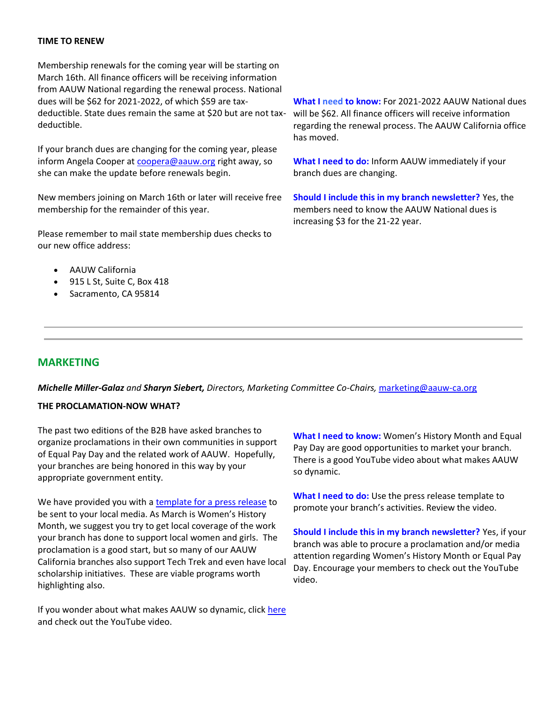### **TIME TO RENEW**

Membership renewals for the coming year will be starting on March 16th. All finance officers will be receiving information from AAUW National regarding the renewal process. National dues will be \$62 for 2021-2022, of which \$59 are taxdeductible. State dues remain the same at \$20 but are not taxdeductible.

If your branch dues are changing for the coming year, please inform Angela Cooper a[t coopera@aauw.org](mailto:coopera@aauw.org) right away, so she can make the update before renewals begin.

New members joining on March 16th or later will receive free membership for the remainder of this year.

Please remember to mail state membership dues checks to our new office address:

- AAUW California
- 915 L St, Suite C, Box 418
- Sacramento, CA 95814

**What I need to know:** For 2021-2022 AAUW National dues will be \$62. All finance officers will receive information regarding the renewal process. The AAUW California office has moved.

**What I need to do:** Inform AAUW immediately if your branch dues are changing.

**Should I include this in my branch newsletter?** Yes, the members need to know the AAUW National dues is increasing \$3 for the 21-22 year.

## **MARKETING**

*Michelle Miller-Galaz and Sharyn Siebert, Directors, Marketing Committee Co-Chairs,* [marketing@aauw-ca.org](mailto:marketing@aauw-ca.org)

## **THE PROCLAMATION-NOW WHAT?**

The past two editions of the B2B have asked branches to organize proclamations in their own communities in support of Equal Pay Day and the related work of AAUW. Hopefully, your branches are being honored in this way by your appropriate government entity.

We have provided you with a [template for a press release](https://ww3.aauw.org/resource/equal-pay-day-proclamation/) to be sent to your local media. As March is Women's History Month, we suggest you try to get local coverage of the work your branch has done to support local women and girls. The proclamation is a good start, but so many of our AAUW California branches also support Tech Trek and even have local scholarship initiatives. These are viable programs worth highlighting also.

If you wonder about what makes AAUW so dynamic, click [here](https://www.youtube.com/watch?v=13xOl0LUyvw) and check out the YouTube video.

**What I need to know:** Women's History Month and Equal Pay Day are good opportunities to market your branch. There is a good YouTube video about what makes AAUW so dynamic.

**What I need to do:** Use the press release template to promote your branch's activities. Review the video.

**Should I include this in my branch newsletter?** Yes, if your branch was able to procure a proclamation and/or media attention regarding Women's History Month or Equal Pay Day. Encourage your members to check out the YouTube video.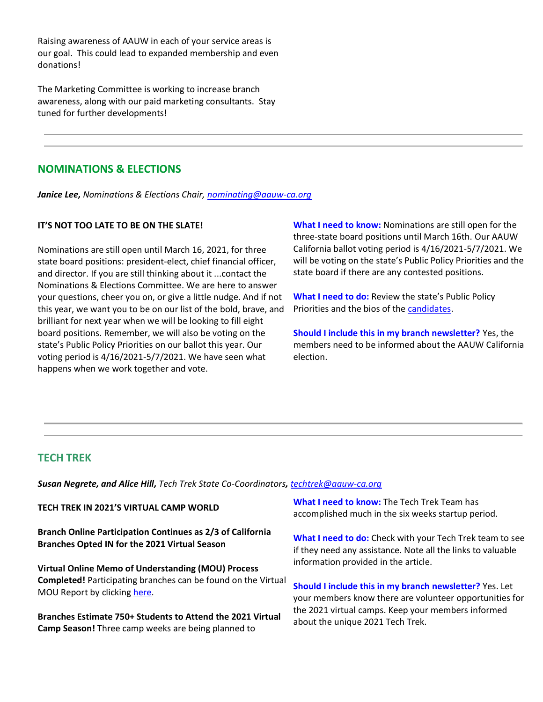Raising awareness of AAUW in each of your service areas is our goal. This could lead to expanded membership and even donations!

The Marketing Committee is working to increase branch awareness, along with our paid marketing consultants. Stay tuned for further developments!

# **NOMINATIONS & ELECTIONS**

*Janice Lee, Nominations & Elections Chair, [nominating@aauw-ca.org](mailto:nominating@aauw-ca.org)*

### **IT'S NOT TOO LATE TO BE ON THE SLATE!**

Nominations are still open until March 16, 2021, for three state board positions: president-elect, chief financial officer, and director. If you are still thinking about it ...contact the Nominations & Elections Committee. We are here to answer your questions, cheer you on, or give a little nudge. And if not this year, we want you to be on our list of the bold, brave, and brilliant for next year when we will be looking to fill eight board positions. Remember, we will also be voting on the state's Public Policy Priorities on our ballot this year. Our voting period is 4/16/2021-5/7/2021. We have seen what happens when we work together and vote.

**What I need to know:** Nominations are still open for the three-state board positions until March 16th. Our AAUW California ballot voting period is 4/16/2021-5/7/2021. We will be voting on the state's Public Policy Priorities and the state board if there are any contested positions.

**What I need to do:** Review the state's Public Policy Priorities and the bios of the [candidates.](https://www.aauw-ca.org/2021-candidates/)

**Should I include this in my branch newsletter?** Yes, the members need to be informed about the AAUW California election.

## **TECH TREK**

*Susan Negrete, and Alice Hill, Tech Trek State Co-Coordinators, [techtrek@aauw-ca.org](mailto:techtrek@aauw-ca.org)*

**TECH TREK IN 2021'S VIRTUAL CAMP WORLD**

**Branch Online Participation Continues as 2/3 of California Branches Opted IN for the 2021 Virtual Season**

**Virtual Online Memo of Understanding (MOU) Process Completed!** Participating branches can be found on the Virtual MOU Report by clicking [here.](https://docs.google.com/spreadsheets/d/1FJBuXlLD-5XIPrRan_LXMyBzrRVnTqD_lpvlgekcVWc/edit#gid=421837310)

**Branches Estimate 750+ Students to Attend the 2021 Virtual Camp Season!** Three camp weeks are being planned to

**What I need to know:** The Tech Trek Team has accomplished much in the six weeks startup period.

**What I need to do:** Check with your Tech Trek team to see if they need any assistance. Note all the links to valuable information provided in the article.

**Should I include this in my branch newsletter?** Yes. Let your members know there are volunteer opportunities for the 2021 virtual camps. Keep your members informed about the unique 2021 Tech Trek.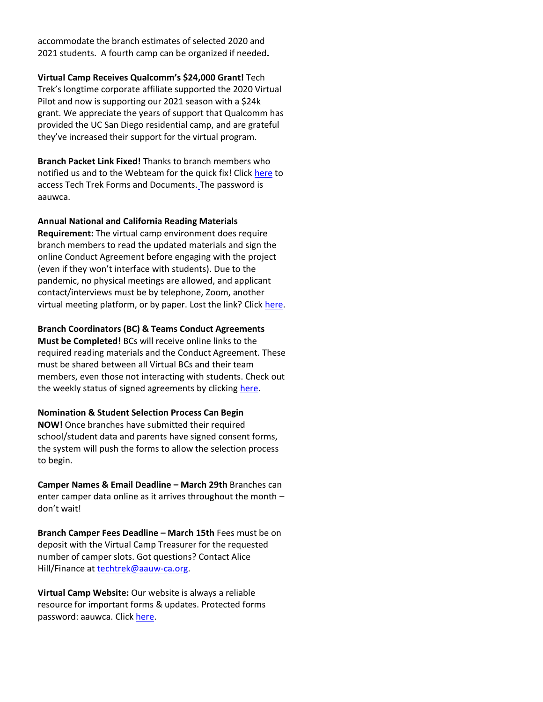accommodate the branch estimates of selected 2020 and 2021 students. A fourth camp can be organized if needed**.**

**Virtual Camp Receives Qualcomm's \$24,000 Grant!** Tech Trek's longtime corporate affiliate supported the 2020 Virtual Pilot and now is supporting our 2021 season with a \$24k grant. We appreciate the years of support that Qualcomm has provided the UC San Diego residential camp, and are grateful they've increased their support for the virtual program.

**Branch Packet Link Fixed!** Thanks to branch members who notified us and to the Webteam for the quick fix! Click [here](https://www.aauw-ca.org/tech-trek-forms-documents/) to access Tech Trek Forms and Documents. [T](https://www.aauw-ca.org/tech-trek-forms-documents/)he password is aauwca.

### **Annual National and California Reading Materials**

**Requirement:** The virtual camp environment does require branch members to read the updated materials and sign the online Conduct Agreement before engaging with the project (even if they won't interface with students). Due to the pandemic, no physical meetings are allowed, and applicant contact/interviews must be by telephone, Zoom, another virtual meeting platform, or by paper. Lost the link? Click [here.](https://www.aauw-ca.org/tech-trek-forms-documents/)

### **Branch Coordinators (BC) & Teams Conduct Agreements**

**Must be Completed!** BCs will receive online links to the required reading materials and the Conduct Agreement. These must be shared between all Virtual BCs and their team members, even those not interacting with students. Check out the weekly status of signed agreements by clicking [here.](https://www.aauw-ca.org/tech-trek-forms-documents/)

### **Nomination & Student Selection Process Can Begin**

**NOW!** Once branches have submitted their required school/student data and parents have signed consent forms, the system will push the forms to allow the selection process to begin.

**Camper Names & Email Deadline – March 29th** Branches can enter camper data online as it arrives throughout the month – don't wait!

**Branch Camper Fees Deadline – March 15th** Fees must be on deposit with the Virtual Camp Treasurer for the requested number of camper slots. Got questions? Contact Alice Hill/Finance a[t techtrek@aauw-ca.org.](mailto:techtrek@aauw-ca.org)

**Virtual Camp Website:** Our website is always a reliable resource for important forms & updates. Protected forms password: aauwca. Click [here.](https://www.aauw-ca.org/tech-trek-forms-documents/)